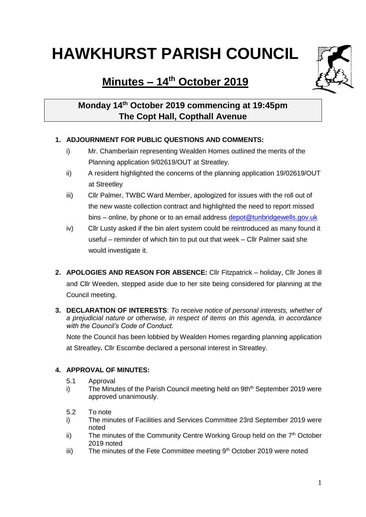# **HAWKHURST PARISH COUNCIL**

## **Minutes – 14th October 2019**

### **Monday 14th October 2019 commencing at 19:45pm The Copt Hall, Copthall Avenue**

#### **1. ADJOURNMENT FOR PUBLIC QUESTIONS AND COMMENTS:**

- i) Mr. Chamberlain representing Wealden Homes outlined the merits of the Planning application 9/02619/OUT at Streatley.
- ii) A resident highlighted the concerns of the planning application 19/02619/OUT at Streetley
- iii) Cllr Palmer, TWBC Ward Member, apologized for issues with the roll out of the new waste collection contract and highlighted the need to report missed bins – online, by phone or to an email address [depot@tunbridgewells.gov.uk](mailto:depot@tunbridgewells.gov.uk)
- iv) Cllr Lusty asked if the bin alert system could be reintroduced as many found it useful – reminder of which bin to put out that week – Cllr Palmer said she would investigate it.
- **2. APOLOGIES AND REASON FOR ABSENCE:** Cllr Fitzpatrick holiday, Cllr Jones ill and Cllr Weeden, stepped aside due to her site being considered for planning at the Council meeting.
- **3. DECLARATION OF INTERESTS**: *To receive notice of personal interests, whether of a prejudicial nature or otherwise, in respect of items on this agenda, in accordance with the Council's Code of Conduct.*

Note the Council has been lobbied by Wealden Homes regarding planning application at Streatley**.** Cllr Escombe declared a personal interest in Streatley.

#### **4. APPROVAL OF MINUTES:**

- 5.1 Approval
- i) The Minutes of the Parish Council meeting held on  $9th<sup>th</sup>$  September 2019 were approved unanimously.
- 5.2 To note
- i) The minutes of Facilities and Services Committee 23rd September 2019 were noted
- ii) The minutes of the Community Centre Working Group held on the  $7<sup>th</sup>$  October 2019 noted
- iii) The minutes of the Fete Committee meeting 9<sup>th</sup> October 2019 were noted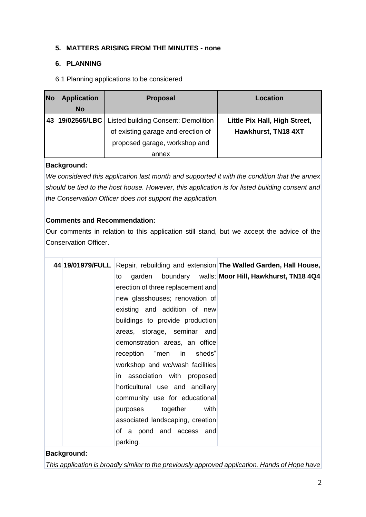#### **5. MATTERS ARISING FROM THE MINUTES - none**

#### **6. PLANNING**

6.1 Planning applications to be considered

| <b>No</b> | <b>Application</b><br><b>No</b> | <b>Proposal</b>                                                                                            | Location                                             |
|-----------|---------------------------------|------------------------------------------------------------------------------------------------------------|------------------------------------------------------|
|           | 43 19/02565/LBC                 | Listed building Consent: Demolition<br>of existing garage and erection of<br>proposed garage, workshop and | Little Pix Hall, High Street,<br>Hawkhurst, TN18 4XT |
|           |                                 | annex                                                                                                      |                                                      |

#### **Background:**

*We considered this application last month and supported it with the condition that the annex should be tied to the host house. However, this application is for listed building consent and the Conservation Officer does not support the application.*

#### **Comments and Recommendation:**

Our comments in relation to this application still stand, but we accept the advice of the Conservation Officer.

|  | 44 19/01979/FULL Repair, rebuilding and extension The Walled Garden, Hall House, |
|--|----------------------------------------------------------------------------------|
|  | garden boundary walls; Moor Hill, Hawkhurst, TN18 4Q4<br>to                      |
|  | erection of three replacement and                                                |
|  | new glasshouses; renovation of                                                   |
|  | existing and addition of new                                                     |
|  | buildings to provide production                                                  |
|  | areas, storage, seminar and                                                      |
|  | demonstration areas, an office                                                   |
|  | reception "men in sheds"                                                         |
|  | workshop and wc/wash facilities                                                  |
|  | in association with proposed                                                     |
|  | horticultural use and ancillary                                                  |
|  | community use for educational                                                    |
|  | with<br>purposes together                                                        |
|  | associated landscaping, creation                                                 |
|  | of a pond and access and                                                         |
|  | parking.                                                                         |

#### **Background:**

*This application is broadly similar to the previously approved application. Hands of Hope have*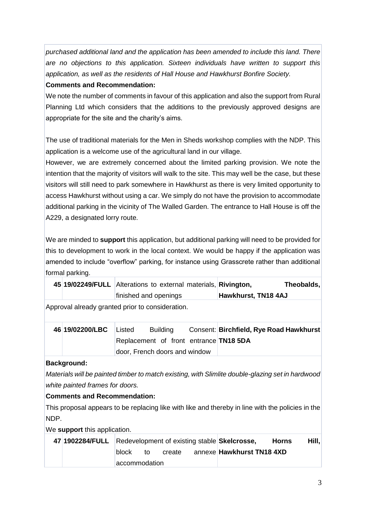*purchased additional land and the application has been amended to include this land. There are no objections to this application. Sixteen individuals have written to support this application, as well as the residents of Hall House and Hawkhurst Bonfire Society.*

#### **Comments and Recommendation:**

We note the number of comments in favour of this application and also the support from Rural Planning Ltd which considers that the additions to the previously approved designs are appropriate for the site and the charity's aims.

The use of traditional materials for the Men in Sheds workshop complies with the NDP. This application is a welcome use of the agricultural land in our village.

However, we are extremely concerned about the limited parking provision. We note the intention that the majority of visitors will walk to the site. This may well be the case, but these visitors will still need to park somewhere in Hawkhurst as there is very limited opportunity to access Hawkhurst without using a car. We simply do not have the provision to accommodate additional parking in the vicinity of The Walled Garden. The entrance to Hall House is off the A229, a designated lorry route.

We are minded to **support** this application, but additional parking will need to be provided for this to development to work in the local context. We would be happy if the application was amended to include "overflow" parking, for instance using Grasscrete rather than additional formal parking.

|  | 45 19/02249/FULL Alterations to external materials, Rivington, |                     | Theobalds, |
|--|----------------------------------------------------------------|---------------------|------------|
|  | finished and openings                                          | Hawkhurst, TN18 4AJ |            |

Approval already granted prior to consideration.

| 46 19/02200/LBC Listed |  | <b>Building</b>                        | Consent: Birchfield, Rye Road Hawkhurst |
|------------------------|--|----------------------------------------|-----------------------------------------|
|                        |  | Replacement of front entrance TN18 5DA |                                         |
|                        |  | door, French doors and window          |                                         |

#### **Background:**

*Materials will be painted timber to match existing, with Slimlite double-glazing set in hardwood white painted frames for doors.*

**Comments and Recommendation:**

This proposal appears to be replacing like with like and thereby in line with the policies in the NDP.

We **support** this application.

| 47 1902284/FULL Redevelopment of existing stable Skelcrosse, |                |    |        |  |                           | <b>Horns</b> | Hill, |
|--------------------------------------------------------------|----------------|----|--------|--|---------------------------|--------------|-------|
|                                                              | block          | to | create |  | annexe Hawkhurst TN18 4XD |              |       |
|                                                              | laccommodation |    |        |  |                           |              |       |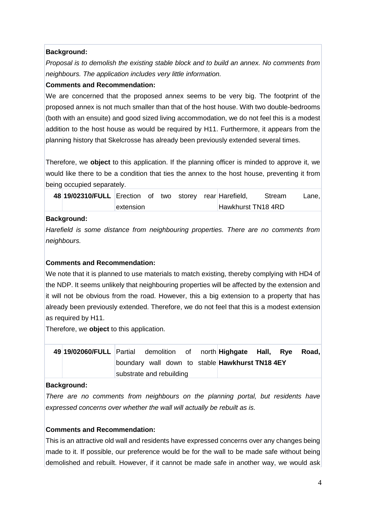#### **Background:**

*Proposal is to demolish the existing stable block and to build an annex. No comments from neighbours. The application includes very little information.*

#### **Comments and Recommendation:**

We are concerned that the proposed annex seems to be very big. The footprint of the proposed annex is not much smaller than that of the host house. With two double-bedrooms (both with an ensuite) and good sized living accommodation, we do not feel this is a modest addition to the host house as would be required by H11. Furthermore, it appears from the planning history that Skelcrosse has already been previously extended several times.

Therefore, we **object** to this application. If the planning officer is minded to approve it, we would like there to be a condition that ties the annex to the host house, preventing it from being occupied separately.

| 48 19/02310/FULL Erection of two storey rear Harefield, |           |  |  |                    | Stream | Lane, |
|---------------------------------------------------------|-----------|--|--|--------------------|--------|-------|
|                                                         | extension |  |  | Hawkhurst TN18 4RD |        |       |

#### **Background:**

*Harefield is some distance from neighbouring properties. There are no comments from neighbours.* 

#### **Comments and Recommendation:**

We note that it is planned to use materials to match existing, thereby complying with HD4 of the NDP. It seems unlikely that neighbouring properties will be affected by the extension and it will not be obvious from the road. However, this a big extension to a property that has already been previously extended. Therefore, we do not feel that this is a modest extension as required by H11.

Therefore, we **object** to this application.

| 49 19/02060/FULL Partial demolition of north Highgate Hall, Rye Road, |                          |  |  |                                                        |  |  |
|-----------------------------------------------------------------------|--------------------------|--|--|--------------------------------------------------------|--|--|
|                                                                       |                          |  |  | boundary wall down to stable <b>Hawkhurst TN18 4EY</b> |  |  |
|                                                                       | substrate and rebuilding |  |  |                                                        |  |  |

#### **Background:**

*There are no comments from neighbours on the planning portal, but residents have expressed concerns over whether the wall will actually be rebuilt as is.*

#### **Comments and Recommendation:**

This is an attractive old wall and residents have expressed concerns over any changes being made to it. If possible, our preference would be for the wall to be made safe without being demolished and rebuilt. However, if it cannot be made safe in another way, we would ask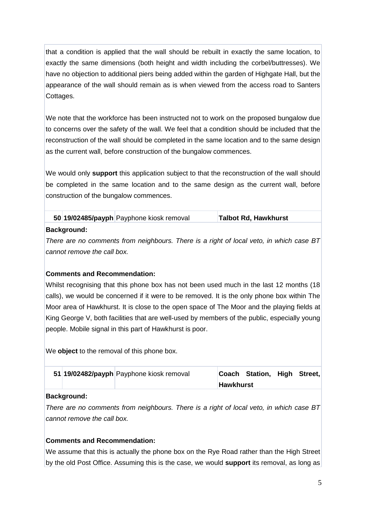that a condition is applied that the wall should be rebuilt in exactly the same location, to exactly the same dimensions (both height and width including the corbel/buttresses). We have no objection to additional piers being added within the garden of Highgate Hall, but the appearance of the wall should remain as is when viewed from the access road to Santers Cottages.

We note that the workforce has been instructed not to work on the proposed bungalow due to concerns over the safety of the wall. We feel that a condition should be included that the reconstruction of the wall should be completed in the same location and to the same design as the current wall, before construction of the bungalow commences.

We would only **support** this application subject to that the reconstruction of the wall should be completed in the same location and to the same design as the current wall, before construction of the bungalow commences.

|             | 50 19/02485/payph Payphone kiosk removal | Talbot Rd, Hawkhurst |
|-------------|------------------------------------------|----------------------|
| Background: |                                          |                      |

*There are no comments from neighbours. There is a right of local veto, in which case BT cannot remove the call box.*

#### **Comments and Recommendation:**

Whilst recognising that this phone box has not been used much in the last 12 months (18 calls), we would be concerned if it were to be removed. It is the only phone box within The Moor area of Hawkhurst. It is close to the open space of The Moor and the playing fields at King George V, both facilities that are well-used by members of the public, especially young people. Mobile signal in this part of Hawkhurst is poor.

We **object** to the removal of this phone box.

|  | 51 19/02482/payph Payphone kiosk removal |                  | Coach Station, High | Street, |
|--|------------------------------------------|------------------|---------------------|---------|
|  |                                          | <b>Hawkhurst</b> |                     |         |

#### **Background:**

*There are no comments from neighbours. There is a right of local veto, in which case BT cannot remove the call box.*

#### **Comments and Recommendation:**

We assume that this is actually the phone box on the Rye Road rather than the High Street by the old Post Office. Assuming this is the case, we would **support** its removal, as long as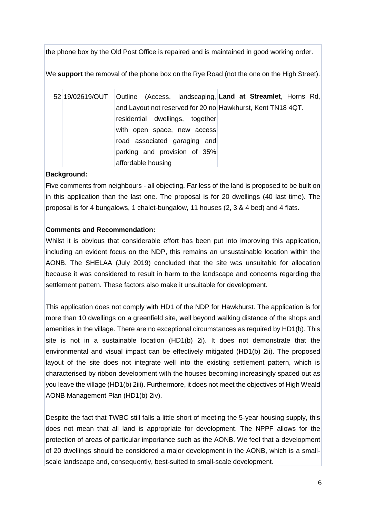the phone box by the Old Post Office is repaired and is maintained in good working order.

We **support** the removal of the phone box on the Rye Road (not the one on the High Street).

52 19/02619/OUT Outline (Access, landscaping, **Land at Streamlet**, Horns Rd, and Layout not reserved for 20 no Hawkhurst, Kent TN18 4QT. residential dwellings, together with open space, new access road associated garaging and parking and provision of 35% affordable housing

#### **Background:**

Five comments from neighbours - all objecting. Far less of the land is proposed to be built on in this application than the last one. The proposal is for 20 dwellings (40 last time). The proposal is for 4 bungalows, 1 chalet-bungalow, 11 houses (2, 3 & 4 bed) and 4 flats.

#### **Comments and Recommendation:**

Whilst it is obvious that considerable effort has been put into improving this application, including an evident focus on the NDP, this remains an unsustainable location within the AONB. The SHELAA (July 2019) concluded that the site was unsuitable for allocation because it was considered to result in harm to the landscape and concerns regarding the settlement pattern. These factors also make it unsuitable for development.

This application does not comply with HD1 of the NDP for Hawkhurst. The application is for more than 10 dwellings on a greenfield site, well beyond walking distance of the shops and amenities in the village. There are no exceptional circumstances as required by HD1(b). This site is not in a sustainable location (HD1(b) 2i). It does not demonstrate that the environmental and visual impact can be effectively mitigated (HD1(b) 2ii). The proposed layout of the site does not integrate well into the existing settlement pattern, which is characterised by ribbon development with the houses becoming increasingly spaced out as you leave the village (HD1(b) 2iii). Furthermore, it does not meet the objectives of High Weald AONB Management Plan (HD1(b) 2iv).

Despite the fact that TWBC still falls a little short of meeting the 5-year housing supply, this does not mean that all land is appropriate for development. The NPPF allows for the protection of areas of particular importance such as the AONB. We feel that a development of 20 dwellings should be considered a major development in the AONB, which is a smallscale landscape and, consequently, best-suited to small-scale development.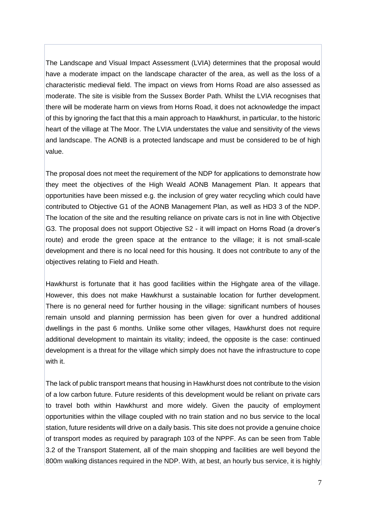The Landscape and Visual Impact Assessment (LVIA) determines that the proposal would have a moderate impact on the landscape character of the area, as well as the loss of a characteristic medieval field. The impact on views from Horns Road are also assessed as moderate. The site is visible from the Sussex Border Path. Whilst the LVIA recognises that there will be moderate harm on views from Horns Road, it does not acknowledge the impact of this by ignoring the fact that this a main approach to Hawkhurst, in particular, to the historic heart of the village at The Moor. The LVIA understates the value and sensitivity of the views and landscape. The AONB is a protected landscape and must be considered to be of high value.

The proposal does not meet the requirement of the NDP for applications to demonstrate how they meet the objectives of the High Weald AONB Management Plan. It appears that opportunities have been missed e.g. the inclusion of grey water recycling which could have contributed to Objective G1 of the AONB Management Plan, as well as HD3 3 of the NDP. The location of the site and the resulting reliance on private cars is not in line with Objective G3. The proposal does not support Objective S2 - it will impact on Horns Road (a drover's route) and erode the green space at the entrance to the village; it is not small-scale development and there is no local need for this housing. It does not contribute to any of the objectives relating to Field and Heath.

Hawkhurst is fortunate that it has good facilities within the Highgate area of the village. However, this does not make Hawkhurst a sustainable location for further development. There is no general need for further housing in the village: significant numbers of houses remain unsold and planning permission has been given for over a hundred additional dwellings in the past 6 months. Unlike some other villages, Hawkhurst does not require additional development to maintain its vitality; indeed, the opposite is the case: continued development is a threat for the village which simply does not have the infrastructure to cope with it.

The lack of public transport means that housing in Hawkhurst does not contribute to the vision of a low carbon future. Future residents of this development would be reliant on private cars to travel both within Hawkhurst and more widely. Given the paucity of employment opportunities within the village coupled with no train station and no bus service to the local station, future residents will drive on a daily basis. This site does not provide a genuine choice of transport modes as required by paragraph 103 of the NPPF. As can be seen from Table 3.2 of the Transport Statement, all of the main shopping and facilities are well beyond the 800m walking distances required in the NDP. With, at best, an hourly bus service, it is highly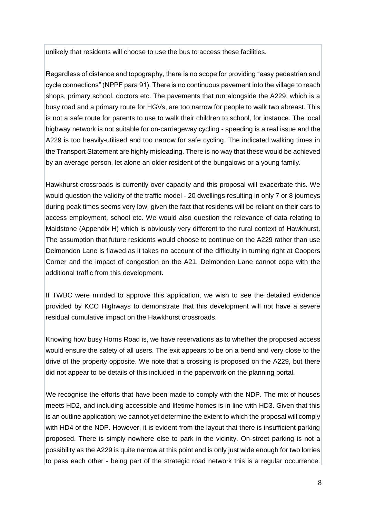unlikely that residents will choose to use the bus to access these facilities.

Regardless of distance and topography, there is no scope for providing "easy pedestrian and cycle connections" (NPPF para 91). There is no continuous pavement into the village to reach shops, primary school, doctors etc. The pavements that run alongside the A229, which is a busy road and a primary route for HGVs, are too narrow for people to walk two abreast. This is not a safe route for parents to use to walk their children to school, for instance. The local highway network is not suitable for on-carriageway cycling - speeding is a real issue and the A229 is too heavily-utilised and too narrow for safe cycling. The indicated walking times in the Transport Statement are highly misleading. There is no way that these would be achieved by an average person, let alone an older resident of the bungalows or a young family.

Hawkhurst crossroads is currently over capacity and this proposal will exacerbate this. We would question the validity of the traffic model - 20 dwellings resulting in only 7 or 8 journeys during peak times seems very low, given the fact that residents will be reliant on their cars to access employment, school etc. We would also question the relevance of data relating to Maidstone (Appendix H) which is obviously very different to the rural context of Hawkhurst. The assumption that future residents would choose to continue on the A229 rather than use Delmonden Lane is flawed as it takes no account of the difficulty in turning right at Coopers Corner and the impact of congestion on the A21. Delmonden Lane cannot cope with the additional traffic from this development.

If TWBC were minded to approve this application, we wish to see the detailed evidence provided by KCC Highways to demonstrate that this development will not have a severe residual cumulative impact on the Hawkhurst crossroads.

Knowing how busy Horns Road is, we have reservations as to whether the proposed access would ensure the safety of all users. The exit appears to be on a bend and very close to the drive of the property opposite. We note that a crossing is proposed on the A229, but there did not appear to be details of this included in the paperwork on the planning portal.

We recognise the efforts that have been made to comply with the NDP. The mix of houses meets HD2, and including accessible and lifetime homes is in line with HD3. Given that this is an outline application; we cannot yet determine the extent to which the proposal will comply with HD4 of the NDP. However, it is evident from the layout that there is insufficient parking proposed. There is simply nowhere else to park in the vicinity. On-street parking is not a possibility as the A229 is quite narrow at this point and is only just wide enough for two lorries to pass each other - being part of the strategic road network this is a regular occurrence.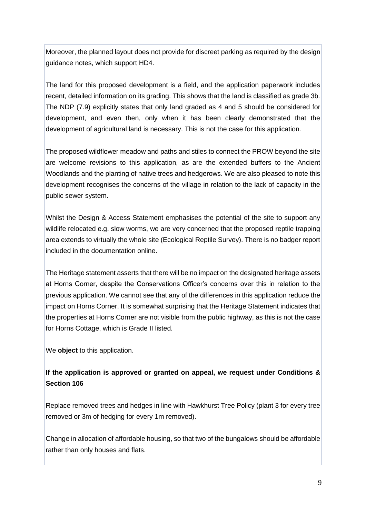Moreover, the planned layout does not provide for discreet parking as required by the design guidance notes, which support HD4.

The land for this proposed development is a field, and the application paperwork includes recent, detailed information on its grading. This shows that the land is classified as grade 3b. The NDP (7.9) explicitly states that only land graded as 4 and 5 should be considered for development, and even then, only when it has been clearly demonstrated that the development of agricultural land is necessary. This is not the case for this application.

The proposed wildflower meadow and paths and stiles to connect the PROW beyond the site are welcome revisions to this application, as are the extended buffers to the Ancient Woodlands and the planting of native trees and hedgerows. We are also pleased to note this development recognises the concerns of the village in relation to the lack of capacity in the public sewer system.

Whilst the Design & Access Statement emphasises the potential of the site to support any wildlife relocated e.g. slow worms, we are very concerned that the proposed reptile trapping area extends to virtually the whole site (Ecological Reptile Survey). There is no badger report included in the documentation online.

The Heritage statement asserts that there will be no impact on the designated heritage assets at Horns Corner, despite the Conservations Officer's concerns over this in relation to the previous application. We cannot see that any of the differences in this application reduce the impact on Horns Corner. It is somewhat surprising that the Heritage Statement indicates that the properties at Horns Corner are not visible from the public highway, as this is not the case for Horns Cottage, which is Grade II listed.

We **object** to this application.

#### **If the application is approved or granted on appeal, we request under Conditions & Section 106**

Replace removed trees and hedges in line with Hawkhurst Tree Policy (plant 3 for every tree removed or 3m of hedging for every 1m removed).

Change in allocation of affordable housing, so that two of the bungalows should be affordable rather than only houses and flats.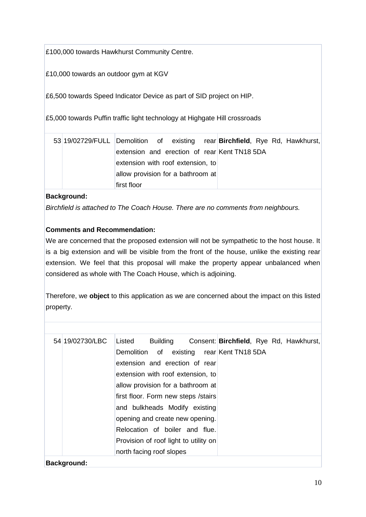£100,000 towards Hawkhurst Community Centre.

£10,000 towards an outdoor gym at KGV

£6,500 towards Speed Indicator Device as part of SID project on HIP.

£5,000 towards Puffin traffic light technology at Highgate Hill crossroads

| 53 19/02729/FULL Demolition of existing rear <b>Birchfield</b> , Rye Rd, Hawkhurst, |                                              |  |  |  |  |  |
|-------------------------------------------------------------------------------------|----------------------------------------------|--|--|--|--|--|
|                                                                                     | extension and erection of rear Kent TN18 5DA |  |  |  |  |  |
|                                                                                     | extension with roof extension, to            |  |  |  |  |  |
|                                                                                     | allow provision for a bathroom at            |  |  |  |  |  |
|                                                                                     | first floor                                  |  |  |  |  |  |

#### **Background:**

*Birchfield is attached to The Coach House. There are no comments from neighbours.* 

#### **Comments and Recommendation:**

We are concerned that the proposed extension will not be sympathetic to the host house. It is a big extension and will be visible from the front of the house, unlike the existing rear extension. We feel that this proposal will make the property appear unbalanced when considered as whole with The Coach House, which is adjoining.

Therefore, we **object** to this application as we are concerned about the impact on this listed property.

| 54 19/02730/LBC | Listed                                |  |  |  |  |                                           |  | Building Consent: Birchfield, Rye Rd, Hawkhurst, |
|-----------------|---------------------------------------|--|--|--|--|-------------------------------------------|--|--------------------------------------------------|
|                 |                                       |  |  |  |  | Demolition of existing rear Kent TN18 5DA |  |                                                  |
|                 | extension and erection of rear        |  |  |  |  |                                           |  |                                                  |
|                 | extension with roof extension, to     |  |  |  |  |                                           |  |                                                  |
|                 | allow provision for a bathroom at     |  |  |  |  |                                           |  |                                                  |
|                 | first floor. Form new steps / stairs  |  |  |  |  |                                           |  |                                                  |
|                 | and bulkheads Modify existing         |  |  |  |  |                                           |  |                                                  |
|                 | opening and create new opening.       |  |  |  |  |                                           |  |                                                  |
|                 | Relocation of boiler and flue.        |  |  |  |  |                                           |  |                                                  |
|                 | Provision of roof light to utility on |  |  |  |  |                                           |  |                                                  |
|                 | north facing roof slopes              |  |  |  |  |                                           |  |                                                  |
| Background:     |                                       |  |  |  |  |                                           |  |                                                  |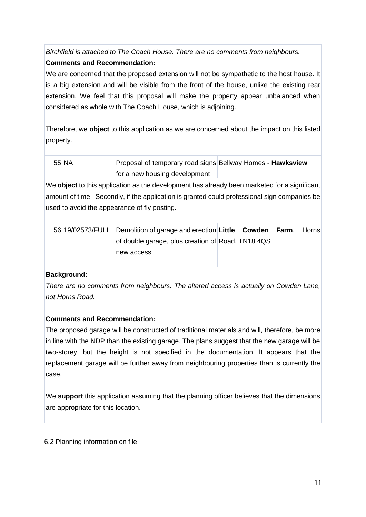*Birchfield is attached to The Coach House. There are no comments from neighbours.*  **Comments and Recommendation:**

We are concerned that the proposed extension will not be sympathetic to the host house. It is a big extension and will be visible from the front of the house, unlike the existing rear extension. We feel that this proposal will make the property appear unbalanced when considered as whole with The Coach House, which is adjoining.

Therefore, we **object** to this application as we are concerned about the impact on this listed property.

| 55 NA | Proposal of temporary road signs Bellway Homes - Hawksview |  |
|-------|------------------------------------------------------------|--|
|       | for a new housing development                              |  |

We **object** to this application as the development has already been marketed for a significant amount of time. Secondly, if the application is granted could professional sign companies be used to avoid the appearance of fly posting.

|  | 56 19/02573/FULL Demolition of garage and erection Little Cowden Farm, Horns |  |  |  |
|--|------------------------------------------------------------------------------|--|--|--|
|  | of double garage, plus creation of Road, TN18 4QS                            |  |  |  |
|  | new access                                                                   |  |  |  |

#### **Background:**

*There are no comments from neighbours. The altered access is actually on Cowden Lane, not Horns Road.* 

#### **Comments and Recommendation:**

The proposed garage will be constructed of traditional materials and will, therefore, be more in line with the NDP than the existing garage. The plans suggest that the new garage will be two-storey, but the height is not specified in the documentation. It appears that the replacement garage will be further away from neighbouring properties than is currently the case.

We **support** this application assuming that the planning officer believes that the dimensions are appropriate for this location.

6.2 Planning information on file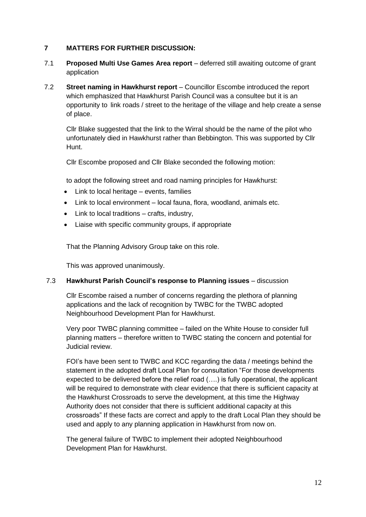#### **7 MATTERS FOR FURTHER DISCUSSION:**

- 7.1 **Proposed Multi Use Games Area report** deferred still awaiting outcome of grant application
- 7.2 **Street naming in Hawkhurst report** Councillor Escombe introduced the report which emphasized that Hawkhurst Parish Council was a consultee but it is an opportunity to link roads / street to the heritage of the village and help create a sense of place.

Cllr Blake suggested that the link to the Wirral should be the name of the pilot who unfortunately died in Hawkhurst rather than Bebbington. This was supported by Cllr Hunt.

Cllr Escombe proposed and Cllr Blake seconded the following motion:

to adopt the following street and road naming principles for Hawkhurst:

- Link to local heritage events, families
- Link to local environment local fauna, flora, woodland, animals etc.
- Link to local traditions crafts, industry,
- Liaise with specific community groups, if appropriate

That the Planning Advisory Group take on this role.

This was approved unanimously.

#### 7.3 **Hawkhurst Parish Council's response to Planning issues** – discussion

Cllr Escombe raised a number of concerns regarding the plethora of planning applications and the lack of recognition by TWBC for the TWBC adopted Neighbourhood Development Plan for Hawkhurst.

Very poor TWBC planning committee – failed on the White House to consider full planning matters – therefore written to TWBC stating the concern and potential for Judicial review.

FOI's have been sent to TWBC and KCC regarding the data / meetings behind the statement in the adopted draft Local Plan for consultation "For those developments expected to be delivered before the relief road (….) is fully operational, the applicant will be required to demonstrate with clear evidence that there is sufficient capacity at the Hawkhurst Crossroads to serve the development, at this time the Highway Authority does not consider that there is sufficient additional capacity at this crossroads" If these facts are correct and apply to the draft Local Plan they should be used and apply to any planning application in Hawkhurst from now on.

The general failure of TWBC to implement their adopted Neighbourhood Development Plan for Hawkhurst.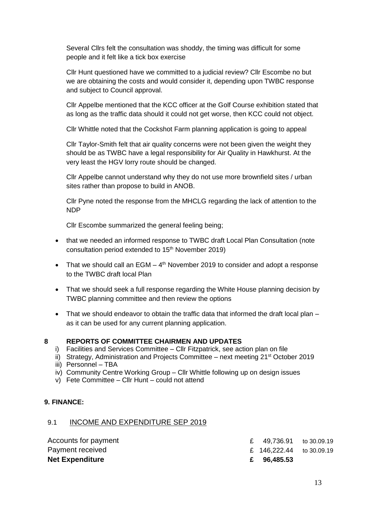Several Cllrs felt the consultation was shoddy, the timing was difficult for some people and it felt like a tick box exercise

Cllr Hunt questioned have we committed to a judicial review? Cllr Escombe no but we are obtaining the costs and would consider it, depending upon TWBC response and subject to Council approval.

Cllr Appelbe mentioned that the KCC officer at the Golf Course exhibition stated that as long as the traffic data should it could not get worse, then KCC could not object.

Cllr Whittle noted that the Cockshot Farm planning application is going to appeal

Cllr Taylor-Smith felt that air quality concerns were not been given the weight they should be as TWBC have a legal responsibility for Air Quality in Hawkhurst. At the very least the HGV lorry route should be changed.

Cllr Appelbe cannot understand why they do not use more brownfield sites / urban sites rather than propose to build in ANOB.

Cllr Pyne noted the response from the MHCLG regarding the lack of attention to the NDP

Cllr Escombe summarized the general feeling being;

- that we needed an informed response to TWBC draft Local Plan Consultation (note consultation period extended to 15th November 2019)
- That we should call an EGM  $-$  4<sup>th</sup> November 2019 to consider and adopt a response to the TWBC draft local Plan
- That we should seek a full response regarding the White House planning decision by TWBC planning committee and then review the options
- That we should endeavor to obtain the traffic data that informed the draft local plan as it can be used for any current planning application.

#### **8 REPORTS OF COMMITTEE CHAIRMEN AND UPDATES**

- i) Facilities and Services Committee Cllr Fitzpatrick, see action plan on file
- ii) Strategy, Administration and Projects Committee  $-$  next meeting 21<sup>st</sup> October 2019
- iii) Personnel TBA
- iv) Community Centre Working Group Cllr Whittle following up on design issues
- v) Fete Committee Cllr Hunt could not attend

#### **9. FINANCE:**

#### 9.1 INCOME AND EXPENDITURE SEP 2019

| <b>Net Expenditure</b> | £ 96,485.53              |  |
|------------------------|--------------------------|--|
| Payment received       | £ 146,222.44 to 30.09.19 |  |
| Accounts for payment   | £ 49,736.91 to 30.09.19  |  |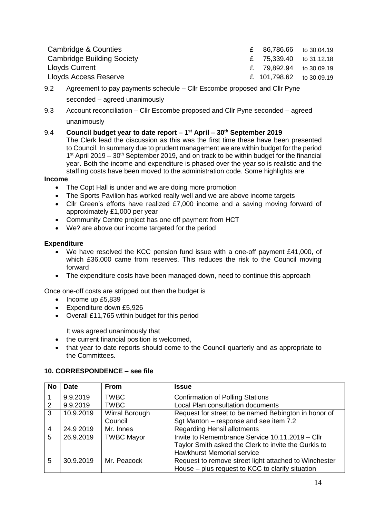|  | £ 86,786.66 to 30.04.19<br>£ 75,339.40 to 31.12.18<br>£ 79,892.94 to 30.09.19<br>£ 101,798.62 to 30.09.19 |
|--|-----------------------------------------------------------------------------------------------------------|

- 9.2 Agreement to pay payments schedule Cllr Escombe proposed and Cllr Pyne seconded – agreed unanimously
- 9.3 Account reconciliation Cllr Escombe proposed and Cllr Pyne seconded agreed unanimously
- 9.4 **Council budget year to date report – 1 st April – 30th September 2019** The Clerk lead the discussion as this was the first time these have been presented to Council. In summary due to prudent management we are within budget for the period  $1<sup>st</sup>$  April 2019 – 30<sup>th</sup> September 2019, and on track to be within budget for the financial year. Both the income and expenditure is phased over the year so is realistic and the staffing costs have been moved to the administration code. Some highlights are

#### **Income**

- The Copt Hall is under and we are doing more promotion
- The Sports Pavilion has worked really well and we are above income targets
- Cllr Green's efforts have realized £7,000 income and a saving moving forward of approximately £1,000 per year
- Community Centre project has one off payment from HCT
- We? are above our income targeted for the period

#### **Expenditure**

- We have resolved the KCC pension fund issue with a one-off payment £41,000, of which £36,000 came from reserves. This reduces the risk to the Council moving forward
- The expenditure costs have been managed down, need to continue this approach

Once one-off costs are stripped out then the budget is

- $\bullet$  Income up £5,839
- **Expenditure down £5,926**
- Overall £11,765 within budget for this period

It was agreed unanimously that

- the current financial position is welcomed.
- that year to date reports should come to the Council quarterly and as appropriate to the Committees.

#### **10. CORRESPONDENCE – see file**

| <b>No</b> | <b>Date</b> | <b>From</b>       | <b>Issue</b>                                          |
|-----------|-------------|-------------------|-------------------------------------------------------|
|           | 9.9.2019    | <b>TWBC</b>       | <b>Confirmation of Polling Stations</b>               |
| 2         | 9.9.2019    | <b>TWBC</b>       | Local Plan consultation documents                     |
| 3         | 10.9.2019   | Wirral Borough    | Request for street to be named Bebington in honor of  |
|           |             | Council           | Sgt Manton - response and see item 7.2                |
| 4         | 24.9 2019   | Mr. Innes         | <b>Regarding Hensil allotments</b>                    |
| 5         | 26.9.2019   | <b>TWBC Mayor</b> | Invite to Remembrance Service 10.11.2019 - Cllr       |
|           |             |                   | Taylor Smith asked the Clerk to invite the Gurkis to  |
|           |             |                   | <b>Hawkhurst Memorial service</b>                     |
| 5         | 30.9.2019   | Mr. Peacock       | Request to remove street light attached to Winchester |
|           |             |                   | House - plus request to KCC to clarify situation      |